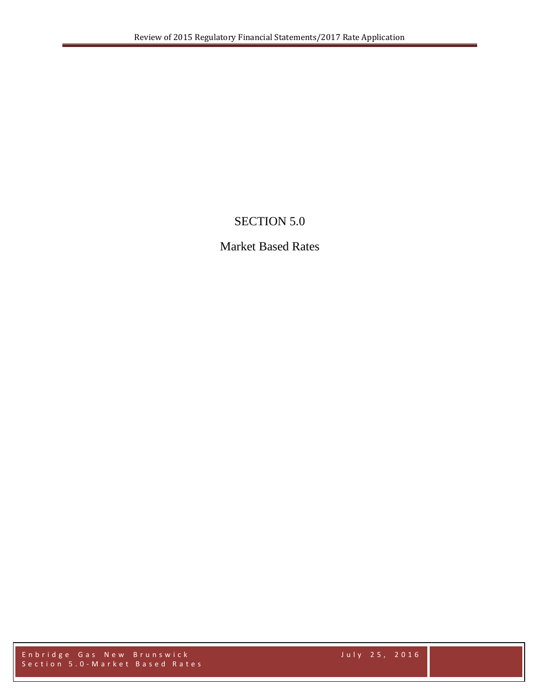## SECTION 5.0

## Market Based Rates

Enbridge Gas New Brunswick July 2 5 , 2016 Section 5.0 - Market Based Rates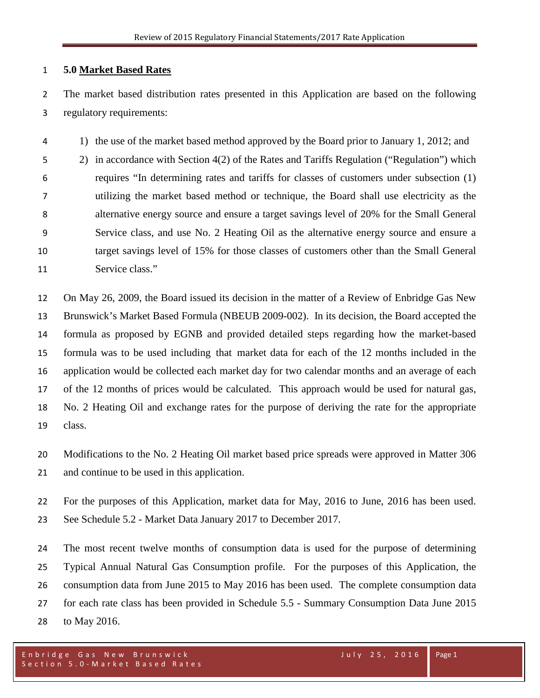## **5.0 Market Based Rates**

 The market based distribution rates presented in this Application are based on the following regulatory requirements:

1) the use of the market based method approved by the Board prior to January 1, 2012; and

 2) in accordance with Section 4(2) of the Rates and Tariffs Regulation ("Regulation") which requires "In determining rates and tariffs for classes of customers under subsection (1) utilizing the market based method or technique, the Board shall use electricity as the alternative energy source and ensure a target savings level of 20% for the Small General Service class, and use No. 2 Heating Oil as the alternative energy source and ensure a target savings level of 15% for those classes of customers other than the Small General Service class."

 On May 26, 2009, the Board issued its decision in the matter of a Review of Enbridge Gas New Brunswick's Market Based Formula (NBEUB 2009-002). In its decision, the Board accepted the formula as proposed by EGNB and provided detailed steps regarding how the market-based formula was to be used including that market data for each of the 12 months included in the application would be collected each market day for two calendar months and an average of each of the 12 months of prices would be calculated. This approach would be used for natural gas, No. 2 Heating Oil and exchange rates for the purpose of deriving the rate for the appropriate class.

 Modifications to the No. 2 Heating Oil market based price spreads were approved in Matter 306 and continue to be used in this application.

 For the purposes of this Application, market data for May, 2016 to June, 2016 has been used. See Schedule 5.2 - Market Data January 2017 to December 2017.

 The most recent twelve months of consumption data is used for the purpose of determining Typical Annual Natural Gas Consumption profile. For the purposes of this Application, the consumption data from June 2015 to May 2016 has been used. The complete consumption data for each rate class has been provided in Schedule 5.5 - Summary Consumption Data June 2015 to May 2016.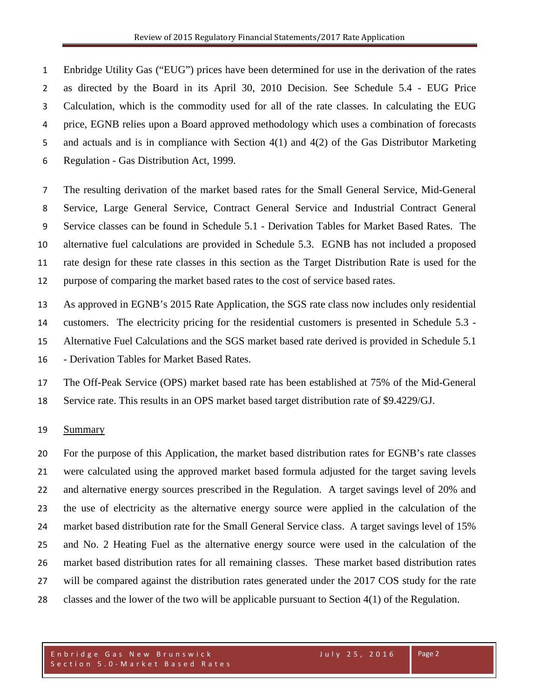Enbridge Utility Gas ("EUG") prices have been determined for use in the derivation of the rates as directed by the Board in its April 30, 2010 Decision. See Schedule 5.4 - EUG Price Calculation, which is the commodity used for all of the rate classes. In calculating the EUG price, EGNB relies upon a Board approved methodology which uses a combination of forecasts 5 and actuals and is in compliance with Section 4(1) and 4(2) of the Gas Distributor Marketing Regulation - Gas Distribution Act, 1999.

 The resulting derivation of the market based rates for the Small General Service, Mid-General Service, Large General Service, Contract General Service and Industrial Contract General Service classes can be found in Schedule 5.1 - Derivation Tables for Market Based Rates. The alternative fuel calculations are provided in Schedule 5.3. EGNB has not included a proposed rate design for these rate classes in this section as the Target Distribution Rate is used for the purpose of comparing the market based rates to the cost of service based rates.

 As approved in EGNB's 2015 Rate Application, the SGS rate class now includes only residential customers. The electricity pricing for the residential customers is presented in Schedule 5.3 - Alternative Fuel Calculations and the SGS market based rate derived is provided in Schedule 5.1 - Derivation Tables for Market Based Rates.

 The Off-Peak Service (OPS) market based rate has been established at 75% of the Mid-General Service rate. This results in an OPS market based target distribution rate of \$9.4229/GJ.

## Summary

 For the purpose of this Application, the market based distribution rates for EGNB's rate classes were calculated using the approved market based formula adjusted for the target saving levels and alternative energy sources prescribed in the Regulation. A target savings level of 20% and the use of electricity as the alternative energy source were applied in the calculation of the market based distribution rate for the Small General Service class. A target savings level of 15% and No. 2 Heating Fuel as the alternative energy source were used in the calculation of the market based distribution rates for all remaining classes. These market based distribution rates 27 will be compared against the distribution rates generated under the 2017 COS study for the rate classes and the lower of the two will be applicable pursuant to Section 4(1) of the Regulation.